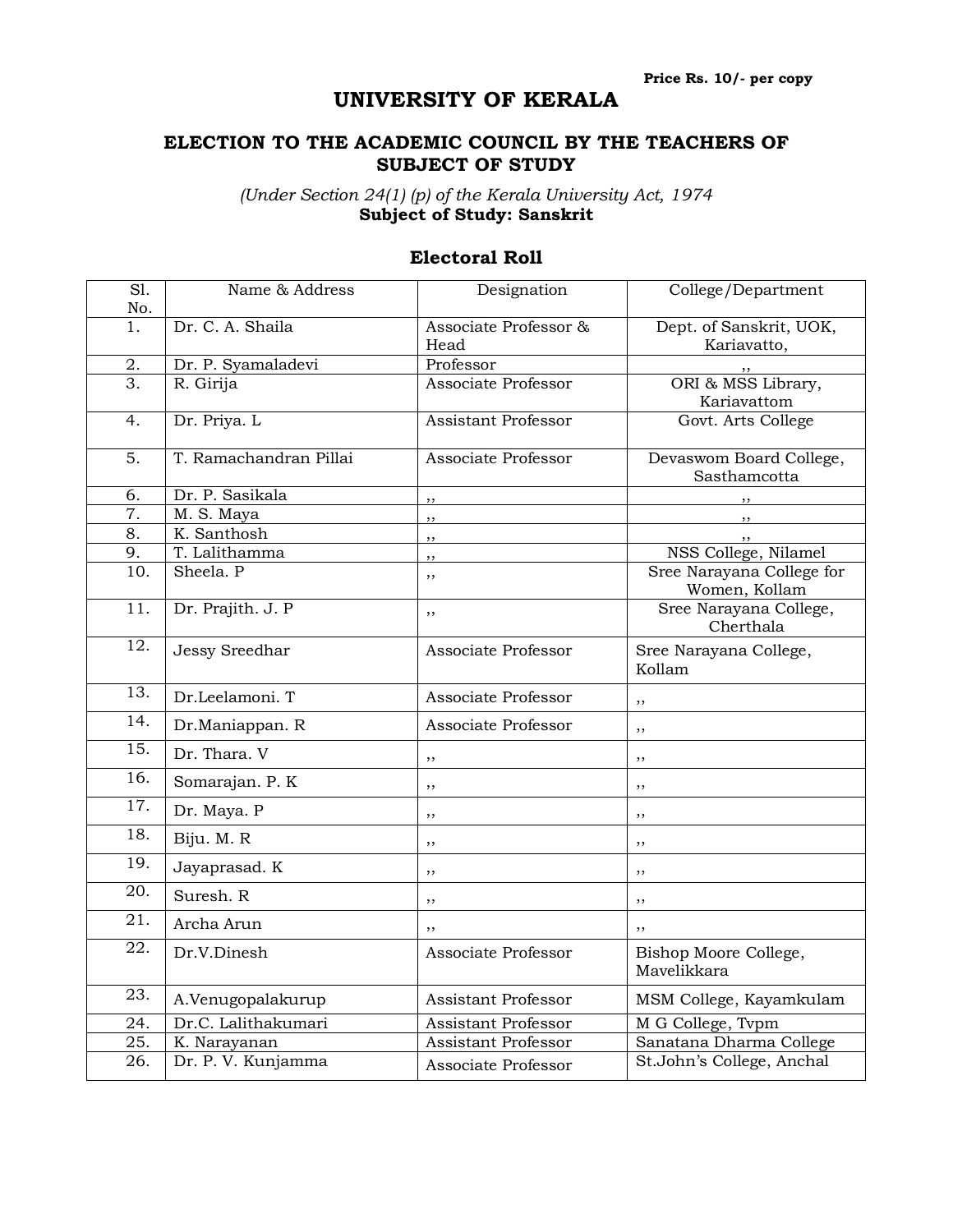## **UNIVERSITY OF KERALA**

## **ELECTION TO THE ACADEMIC COUNCIL BY THE TEACHERS OF SUBJECT OF STUDY**

*(Under Section 24(1) (p) of the Kerala University Act, 1974* **Subject of Study: Sanskrit**

| $\overline{SI}$ .<br>No. | Name & Address             | Designation                   | College/Department                         |
|--------------------------|----------------------------|-------------------------------|--------------------------------------------|
| 1.                       | Dr. C. A. Shaila           | Associate Professor &<br>Head | Dept. of Sanskrit, UOK,<br>Kariavatto,     |
| 2.                       | Dr. P. Syamaladevi         | Professor                     |                                            |
| $\overline{3}$ .         | R. Girija                  | Associate Professor           | ORI & MSS Library,<br>Kariavattom          |
| 4.                       | Dr. Priya. L               | Assistant Professor           | Govt. Arts College                         |
| 5.                       | T. Ramachandran Pillai     | Associate Professor           | Devaswom Board College,<br>Sasthamcotta    |
| 6.                       | Dr. P. Sasikala            | ,,                            |                                            |
| 7.                       | M. S. Maya                 | ,,                            |                                            |
| 8.                       | K. Santhosh                | , ,                           |                                            |
| 9.                       | T. Lalithamma              | ,,                            | NSS College, Nilamel                       |
| 10.                      | Sheela. P                  | ,,                            | Sree Narayana College for<br>Women, Kollam |
| $\overline{11}$ .        | Dr. Prajith. J. P          | ,,                            | Sree Narayana College,<br>Cherthala        |
| $\overline{12}$ .        | Jessy Sreedhar             | Associate Professor           | Sree Narayana College,<br>Kollam           |
| 13.                      | Dr.Leelamoni. T            | Associate Professor           | ,,                                         |
| 14.                      | Dr.Maniappan. R            | Associate Professor           | ,,                                         |
| 15.                      | Dr. Thara. V               | ,,                            | ,,                                         |
| 16.                      | Somarajan. P. K            | ,,                            | ,,                                         |
| 17.                      | Dr. Maya. P                | ,,                            | ,,                                         |
| $\overline{18}$ .        | Biju. M. R                 | ,,                            | ,,                                         |
| 19.                      | Jayaprasad. K              | $, \,$                        | ,,                                         |
| 20.                      | Suresh. R                  | ,,                            | ,,                                         |
| 21.                      | Archa Arun                 | ,,                            | ,,                                         |
| $\overline{22}$ .        | Dr.V.Dinesh                | Associate Professor           | Bishop Moore College,<br>Mavelikkara       |
| 23.                      | A.Venugopalakurup          | Assistant Professor           | MSM College, Kayamkulam                    |
| 24.                      | Dr.C. Lalithakumari        | <b>Assistant Professor</b>    | M G College, Tvpm                          |
| 25.                      | $\overline{K}$ . Narayanan | Assistant Professor           | Sanatana Dharma College                    |
| 26.                      | Dr. P. V. Kunjamma         | Associate Professor           | St.John's College, Anchal                  |

## **Electoral Roll**